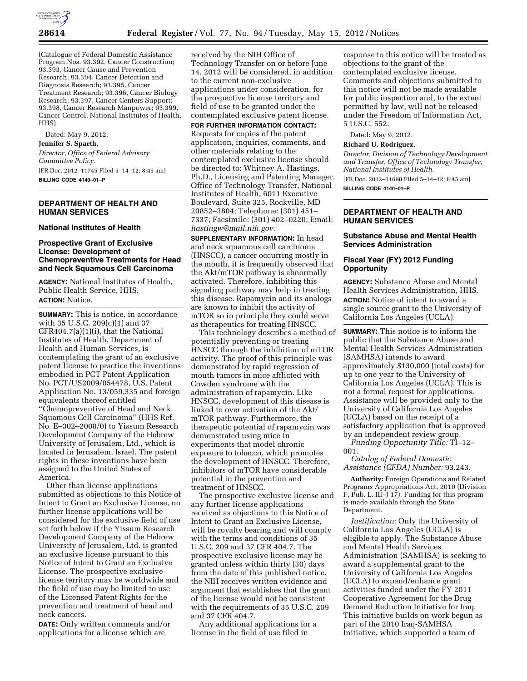

(Catalogue of Federal Domestic Assistance Program Nos. 93.392, Cancer Construction; 93.393, Cancer Cause and Prevention Research; 93.394, Cancer Detection and Diagnosis Research; 93.395, Cancer Treatment Research; 93.396, Cancer Biology Research; 93.397, Cancer Centers Support; 93.398, Cancer Research Manpower; 93.399, Cancer Control, National Institutes of Health, HHS)

Dated: May 9, 2012. **Jennifer S. Spaeth,**  *Director, Office of Federal Advisory Committee Policy.* 

[FR Doc. 2012–11745 Filed 5–14–12; 8:45 am] **BILLING CODE 4140–01–P** 

## **DEPARTMENT OF HEALTH AND HUMAN SERVICES**

## **National Institutes of Health**

## **Prospective Grant of Exclusive License: Development of Chemopreventive Treatments for Head and Neck Squamous Cell Carcinoma**

**AGENCY:** National Institutes of Health, Public Health Service, HHS. **ACTION:** Notice.

**SUMMARY:** This is notice, in accordance with 35 U.S.C. 209(c)(1) and 37 CFR404.7(a)(1)(i), that the National Institutes of Health, Department of Health and Human Services, is contemplating the grant of an exclusive patent license to practice the inventions embodied in PCT Patent Application No. PCT/US2009/054478, U.S. Patent Application No. 13/059,335 and foreign equivalents thereof entitled ''Chemopreventive of Head and Neck Squamous Cell Carcinoma'' (HHS Ref. No. E–302–2008/0) to Yissum Research Development Company of the Hebrew University of Jerusalem, Ltd., which is located in Jerusalem, Israel. The patent rights in these inventions have been assigned to the United States of America.

Other than license applications submitted as objections to this Notice of Intent to Grant an Exclusive License, no further license applications will be considered for the exclusive field of use set forth below if the Yissum Research Development Company of the Hebrew University of Jerusalem, Ltd. is granted an exclusive license pursuant to this Notice of Intent to Grant an Exclusive License. The prospective exclusive license territory may be worldwide and the field of use may be limited to use of the Licensed Patent Rights for the prevention and treatment of head and neck cancers.

**DATE:** Only written comments and/or applications for a license which are

received by the NIH Office of Technology Transfer on or before June 14, 2012 will be considered, in addition to the current non-exclusive applications under consideration, for the prospective license territory and field of use to be granted under the contemplated exclusive patent license.

**FOR FURTHER INFORMATION CONTACT:**  Requests for copies of the patent application, inquiries, comments, and other materials relating to the contemplated exclusive license should be directed to: Whitney A. Hastings, Ph.D., Licensing and Patenting Manager, Office of Technology Transfer, National Institutes of Health, 6011 Executive Boulevard, Suite 325, Rockville, MD 20852–3804; Telephone: (301) 451– 7337; Facsimile: (301) 402–0220; Email: *[hastingw@mail.nih.gov.](mailto:hastingw@mail.nih.gov)* 

**SUPPLEMENTARY INFORMATION:** In head and neck squamous cell carcinoma (HNSCC), a cancer occurring mostly in the mouth, it is frequently observed that the Akt/mTOR pathway is abnormally activated. Therefore, inhibiting this signaling pathway may help in treating this disease. Rapamycin and its analogs are known to inhibit the activity of mTOR so in principle they could serve as therapeutics for treating HNSCC.

This technology describes a method of potentially preventing or treating HNSCC through the inhibition of mTOR activity. The proof of this principle was demonstrated by rapid regression of mouth tumors in mice afflicted with Cowden syndrome with the administration of rapamycin. Like HNSCC, development of this disease is linked to over activation of the Akt/ mTOR pathway. Furthermore, the therapeutic potential of rapamycin was demonstrated using mice in experiments that model chronic exposure to tobacco, which promotes the development of HNSCC. Therefore, inhibitors of mTOR have considerable potential in the prevention and treatment of HNSCC.

The prospective exclusive license and any further license applications received as objections to this Notice of Intent to Grant an Exclusive License, will be royalty bearing and will comply with the terms and conditions of 35 U.S.C. 209 and 37 CFR 404.7. The prospective exclusive license may be granted unless within thirty (30) days from the date of this published notice, the NIH receives written evidence and argument that establishes that the grant of the license would not be consistent with the requirements of 35 U.S.C. 209 and 37 CFR 404.7.

Any additional applications for a license in the field of use filed in

response to this notice will be treated as objections to the grant of the contemplated exclusive license. Comments and objections submitted to this notice will not be made available for public inspection and, to the extent permitted by law, will not be released under the Freedom of Information Act, 5 U.S.C. 552.

Dated: May 9, 2012.

#### **Richard U. Rodriguez,**

*Director, Division of Technology Development and Transfer, Office of Technology Transfer, National Institutes of Health.* 

[FR Doc. 2012–11690 Filed 5–14–12; 8:45 am] **BILLING CODE 4140–01–P** 

# **DEPARTMENT OF HEALTH AND HUMAN SERVICES**

# **Substance Abuse and Mental Health Services Administration**

# **Fiscal Year (FY) 2012 Funding Opportunity**

**AGENCY:** Substance Abuse and Mental Health Services Administration, HHS. **ACTION:** Notice of intent to award a single source grant to the University of California Los Angeles (UCLA).

**SUMMARY:** This notice is to inform the public that the Substance Abuse and Mental Health Services Administration (SAMHSA) intends to award approximately \$130,000 (total costs) for up to one year to the University of California Los Angeles (UCLA). This is not a formal request for applications. Assistance will be provided only to the University of California Los Angeles (UCLA) based on the receipt of a satisfactory application that is approved by an independent review group.

*Funding Opportunity Title:* TI–12– 001.

*Catalog of Federal Domestic Assistance (CFDA) Number:* 93.243.

**Authority:** Foreign Operations and Related Programs Appropriations Act, 2010 (Division F, Pub. L. III–J 17). Funding for this program is made available through the State Department.

*Justification:* Only the University of California Los Angeles (UCLA) is eligible to apply. The Substance Abuse and Mental Health Services Administration (SAMHSA) is seeking to award a supplemental grant to the University of California Los Angeles (UCLA) to expand/enhance grant activities funded under the FY 2011 Cooperative Agreement for the Drug Demand Reduction Initiative for Iraq. This initiative builds on work begun as part of the 2010 Iraq-SAMHSA Initiative, which supported a team of